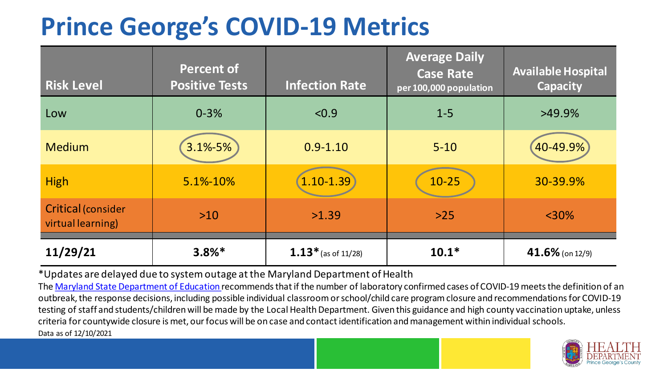## **Prince George's COVID-19 Metrics**

| <b>Risk Level</b>                       | <b>Percent of</b><br><b>Positive Tests</b> | <b>Infection Rate</b> | <b>Average Daily</b><br><b>Case Rate</b><br>per 100,000 population | <b>Available Hospital</b><br>Capacity |
|-----------------------------------------|--------------------------------------------|-----------------------|--------------------------------------------------------------------|---------------------------------------|
| Low                                     | $0 - 3%$                                   | < 0.9                 | $1 - 5$                                                            | $>49.9\%$                             |
| <b>Medium</b>                           | 3.1%-5%                                    | $0.9 - 1.10$          | $5 - 10$                                                           | 40-49.9%                              |
| <b>High</b>                             | 5.1%-10%                                   | $1.10 - 1.39$         | $10 - 25$                                                          | 30-39.9%                              |
| Critical (consider<br>virtual learning) | $>10$                                      | >1.39                 | $>25$                                                              | $<$ 30%                               |
| 11/29/21                                | $3.8%$ *                                   | $1.13*$ (as of 11/28) | $10.1*$                                                            | 41.6% (on 12/9)                       |

\*Updates are delayed due to system outage at the Maryland Department of Health

Data as of 12/10/2021 The [Maryland State Department of Education](https://earlychildhood.marylandpublicschools.org/system/files/filedepot/3/covid_guidance_full_080420.pdf) recommends that if the number of laboratory confirmed cases of COVID-19 meets the definition of an outbreak, the response decisions, including possible individual classroom or school/child care program closure and recommendations for COVID-19 testing of staff and students/children will be made by the Local Health Department. Given this guidance and high county vaccination uptake, unless criteria for countywide closure is met, our focus will be on case and contact identification and management within individual schools.

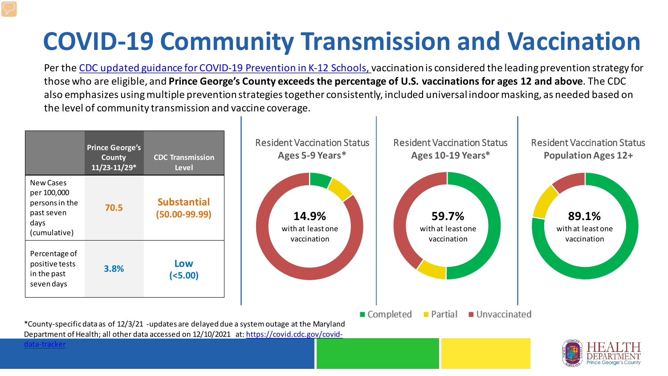# **COVID-19 Community Transmission and Vaccination**

Per the [CDC updated guidance for COVID-19 Prevention in K-12 Schools, v](https://www.cdc.gov/coronavirus/2019-ncov/community/schools-childcare/k-12-guidance.html)accination is considered the leading prevention strategy for those who are eligible, and **Prince George's County exceeds the percentage of U.S. vaccinations for ages 12 and above**. The CDC also emphasizes using multiple prevention strategies together consistently, included universal indoor masking, as needed based on the level of community transmission and vaccine coverage.



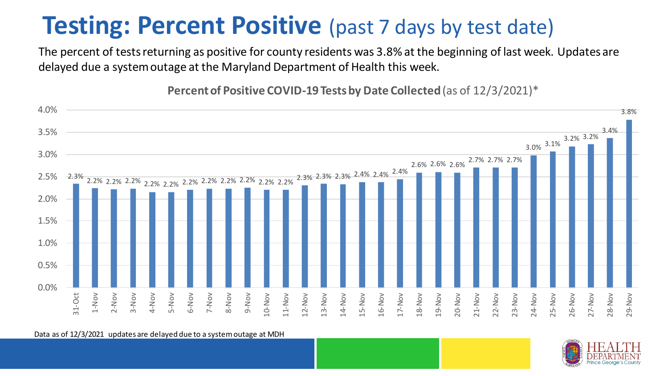### **Testing: Percent Positive** (past 7 days by test date)

The percent of tests returning as positive for county residents was 3.8% at the beginning of last week. Updates are delayed due a system outage at the Maryland Department of Health this week.

**Percent of Positive COVID-19 Tests by Date Collected** (as of 12/3/2021)\*



Data as of 12/3/2021 updates are delayed due to a system outage at MDH

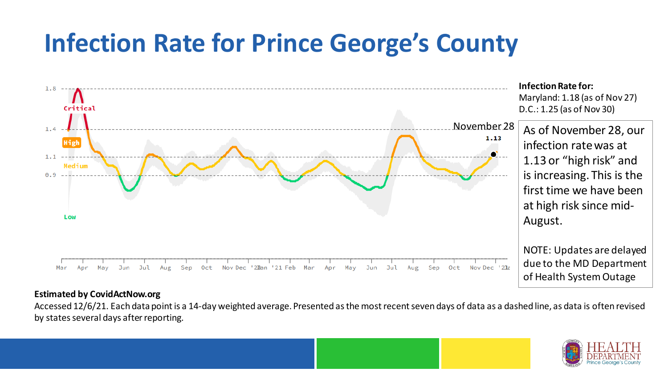## **Infection Rate for Prince George's County**



#### **Estimated by CovidActNow.org**

Accessed 12/6/21. Each data point is a 14-day weighted average. Presented as the most recent seven days of data as a dashed line, as data is often revised by states several days after reporting.

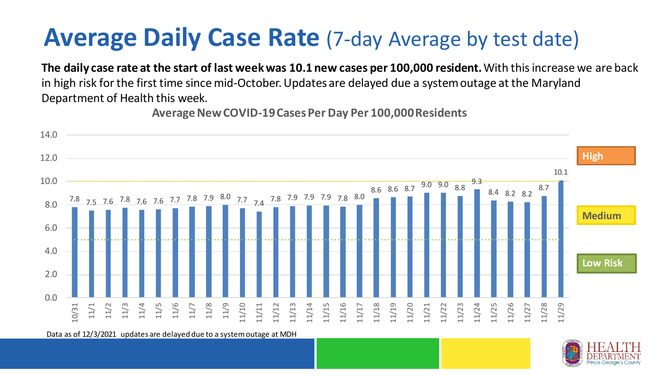### **Average Daily Case Rate** (7-day Average by test date)

**The daily case rate at the start of last week was 10.1 new cases per 100,000 resident.** With this increase we are back in high risk for the first time since mid-October. Updates are delayed due a system outage at the Maryland Department of Health this week.

**Average New COVID-19 Cases Per Day Per 100,000 Residents**



Data as of 12/3/2021 updates are delayed due to a system outage at MDH